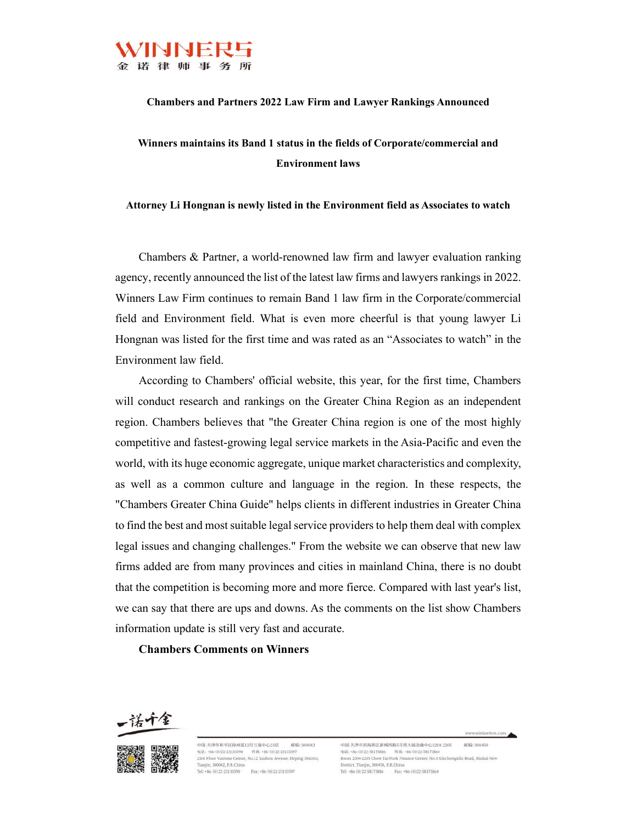

### **Chambers and Partners 2022 Law Firm and Lawyer Rankings Announced**

# **Winners maintains its Band 1 status in the fields of Corporate/commercial and Environment laws**

**Attorney Li Hongnan is newly listed in the Environment field as Associates to watch**

Chambers & Partner, a world-renowned law firm and lawyer evaluation ranking agency, recently announced the list of the latest law firms and lawyers rankings in 2022. Winners Law Firm continues to remain Band 1 law firm in the Corporate/commercial field and Environment field. What is even more cheerful is that young lawyer Li Hongnan was listed for the first time and was rated as an "Associates to watch" in the Environment law field.

According to Chambers' official website, this year, for the first time, Chambers will conduct research and rankings on the Greater China Region as an independent region. Chambers believes that "the Greater China region is one of the most highly competitive and fastest-growing legal service markets in the Asia-Pacific and even the world, with its huge economic aggregate, unique market characteristics and complexity, as well as a common culture and language in the region. In these respects, the "Chambers Greater China Guide" helps clients in different industries in Greater China to find the best and most suitable legal service providers to help them deal with complex legal issues and changing challenges." From the website we can observe that new law firms added are from many provinces and cities in mainland China, there is no doubt that the competition is becoming more and more fierce. Compared with last year's list, we can say that there are ups and downs. As the comments on the list show Chambers information update is still very fast and accurate.

## **Chambers Comments on Winners**





中国·天津市和平区徐州道12号万通中心23层 部编:300042 Tianiin, 300042, P.R.China Tel: +86-(0) 22-23133590 Fax: +86-(0) 22-23133597



电话: +86-(0)22-58173886 传真: +86-(0)22-58173864<br>Room 2204-2205 Chow Tai Fook Finance Center, No.5 Xinchengxilu Road, Binhai New District, Tianjin, 300450, P.R.China Tel: +86-(0)22-58173886 Fax: +86-(0)22-58173864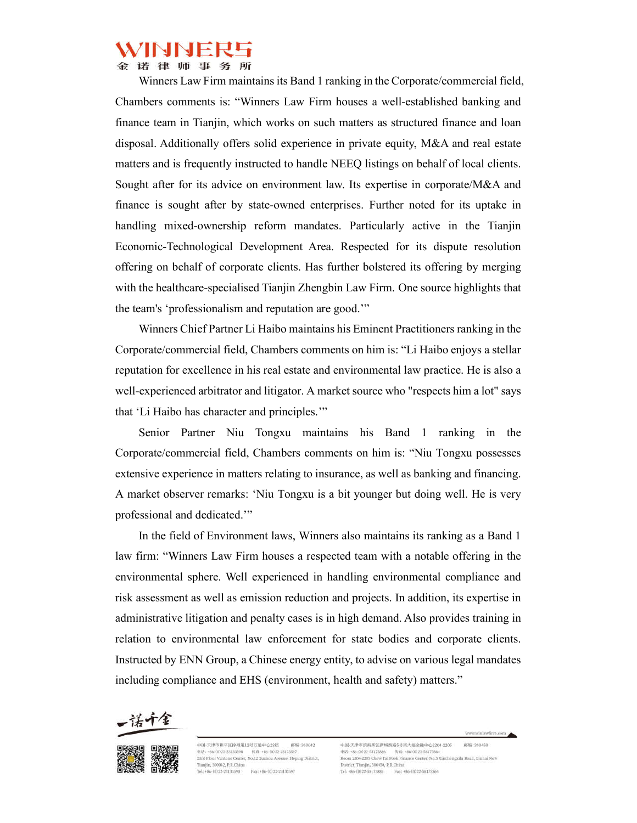律师事务所

Winners Law Firm maintains its Band 1 ranking in the Corporate/commercial field, Chambers comments is: "Winners Law Firm houses a well-established banking and finance team in Tianjin, which works on such matters as structured finance and loan disposal. Additionally offers solid experience in private equity, M&A and real estate matters and is frequently instructed to handle NEEQ listings on behalf of local clients. Sought after for its advice on environment law. Its expertise in corporate/M&A and finance is sought after by state-owned enterprises. Further noted for its uptake in handling mixed-ownership reform mandates. Particularly active in the Tianjin Economic-Technological Development Area. Respected for its dispute resolution offering on behalf of corporate clients. Has further bolstered its offering by merging with the healthcare-specialised Tianjin Zhengbin Law Firm. One source highlights that the team's 'professionalism and reputation are good.'"

Winners Chief Partner Li Haibo maintains his Eminent Practitioners ranking in the Corporate/commercial field, Chambers comments on him is: "Li Haibo enjoys a stellar reputation for excellence in his real estate and environmental law practice. He is also a well-experienced arbitrator and litigator. A market source who "respects him a lot" says that 'Li Haibo has character and principles.'"

Senior Partner Niu Tongxu maintains his Band 1 ranking in the Corporate/commercial field, Chambers comments on him is: "Niu Tongxu possesses extensive experience in matters relating to insurance, as well as banking and financing. A market observer remarks: 'Niu Tongxu is a bit younger but doing well. He is very professional and dedicated.'"

In the field of Environment laws, Winners also maintains its ranking as a Band 1 law firm: "Winners Law Firm houses a respected team with a notable offering in the environmental sphere. Well experienced in handling environmental compliance and risk assessment as well as emission reduction and projects. In addition, its expertise in administrative litigation and penalty cases is in high demand. Also provides training in relation to environmental law enforcement for state bodies and corporate clients. Instructed by ENN Group, a Chinese energy entity, to advise on various legal mandates including compliance and EHS (environment, health and safety) matters."





中国·天津市和平区徐州道12号万通中心23层 部前:300042  $@V{f}="86-(0)22-23133590\\@V{f}="85-60)22-23133597\\23rd Floor Vantone Center, No.12 Xushou Avenue, Heping District,$ Tianiin, 300042, P.R.China 

中国-天津市滨海新区新城西路5号周大福金融中心2204-2205 部编:300450 电话: +86-(0)22-58173886 传真: +86-(0)22-58173864<br>Room 2204-2205 Chow Tai Fook Finance Center, No.5 Xinchengxilu Road, Binhai New District, Tianjin, 300450, P.R.China Tel: +86-(0)22-58173886 Fax: +86-(0)22-58173864